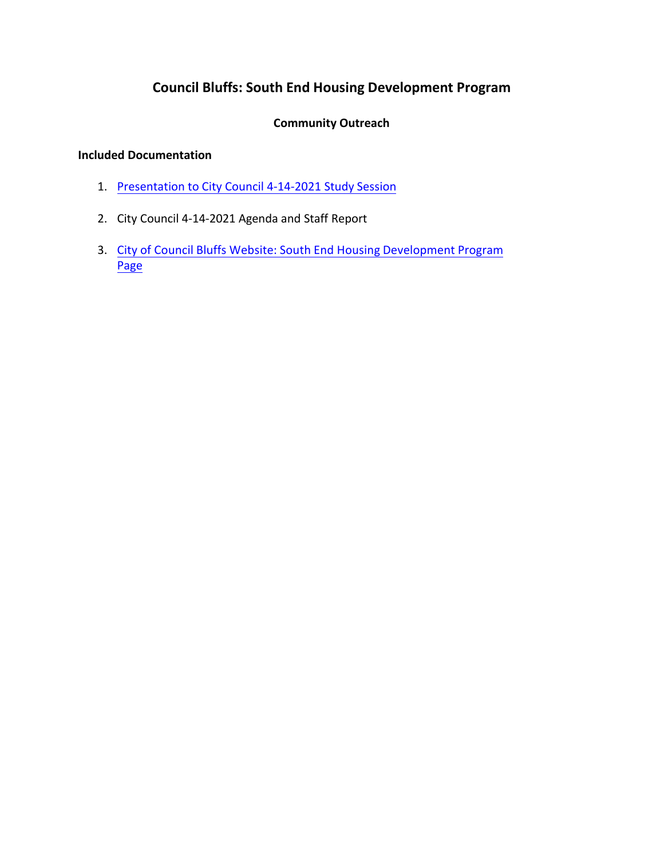# **Council Bluffs: South End Housing Development Program**

## **Community Outreach**

### **Included Documentation**

- 1. [Presentation to City Council 4-14-2021 Study Session](http://councilbluffsia.swagit.com/play/04122021-1165/#5)
- 2. City Council 4-14-2021 Agenda and Staff Report
- 3. [City of Council Bluffs Website: South End Housing](https://www.councilbluffs-ia.gov/2458/South-End-Housing-Development-Program) Development Program Page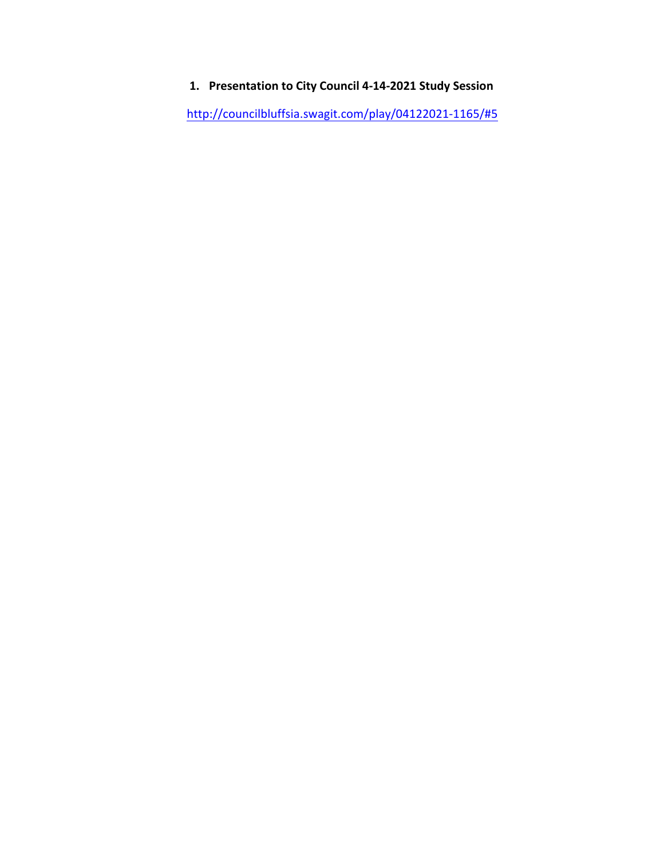# **1. Presentation to City Council 4-14-2021 Study Session**

<http://councilbluffsia.swagit.com/play/04122021-1165/#5>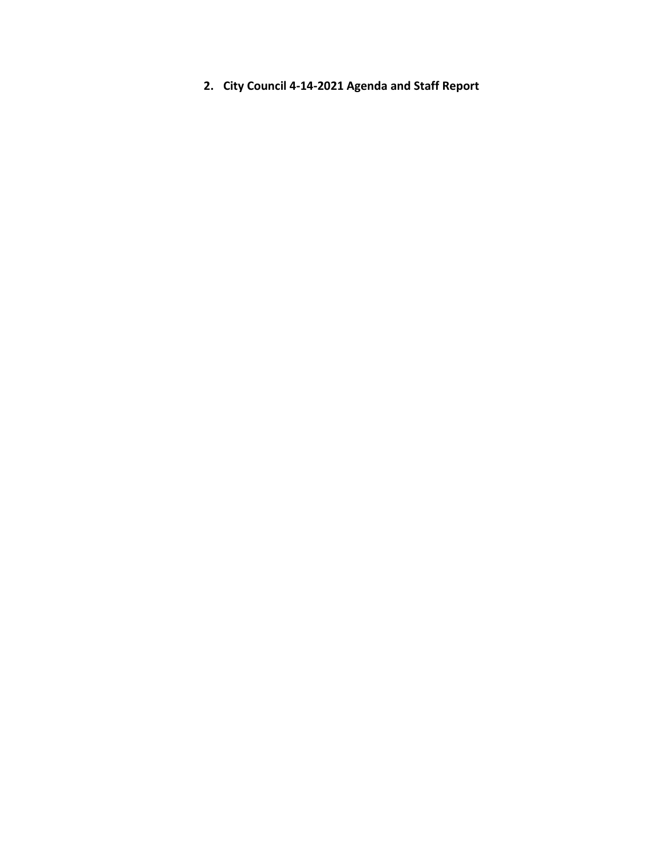**2. City Council 4-14-2021 Agenda and Staff Report**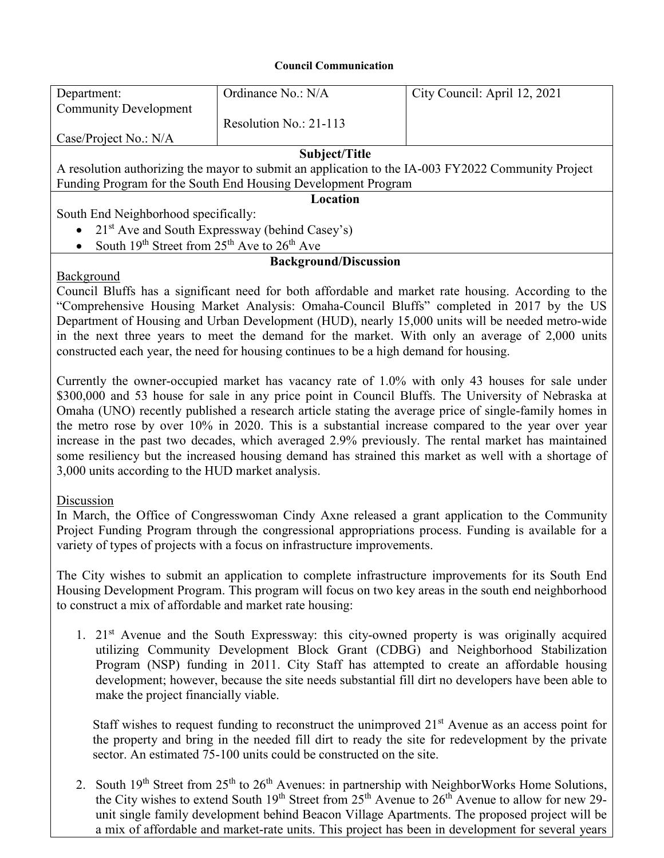#### **Council Communication**

| Department:                                                                                        | Ordinance No.: N/A       | City Council: April 12, 2021 |
|----------------------------------------------------------------------------------------------------|--------------------------|------------------------------|
| <b>Community Development</b>                                                                       |                          |                              |
|                                                                                                    | Resolution No.: $21-113$ |                              |
| Case/Project No.: N/A                                                                              |                          |                              |
| Subject/Title                                                                                      |                          |                              |
| A resolution authorizing the mayor to submit an application to the IA-003 FY2022 Community Project |                          |                              |
| Funding Program for the South End Housing Development Program                                      |                          |                              |
| Location                                                                                           |                          |                              |
| South End Neighborhood specifically:                                                               |                          |                              |
| • $21st$ Ave and South Expressway (behind Casey's)                                                 |                          |                              |
| South 19 <sup>th</sup> Street from 25 <sup>th</sup> Ave to 26 <sup>th</sup> Ave<br>$\bullet$       |                          |                              |
| <b>Background/Discussion</b>                                                                       |                          |                              |

### Background

Council Bluffs has a significant need for both affordable and market rate housing. According to the "Comprehensive Housing Market Analysis: Omaha-Council Bluffs" completed in 2017 by the US Department of Housing and Urban Development (HUD), nearly 15,000 units will be needed metro-wide in the next three years to meet the demand for the market. With only an average of 2,000 units constructed each year, the need for housing continues to be a high demand for housing.

Currently the owner-occupied market has vacancy rate of 1.0% with only 43 houses for sale under \$300,000 and 53 house for sale in any price point in Council Bluffs. The University of Nebraska at Omaha (UNO) recently published a research article stating the average price of single-family homes in the metro rose by over 10% in 2020. This is a substantial increase compared to the year over year increase in the past two decades, which averaged 2.9% previously. The rental market has maintained some resiliency but the increased housing demand has strained this market as well with a shortage of 3,000 units according to the HUD market analysis.

## **Discussion**

In March, the Office of Congresswoman Cindy Axne released a grant application to the Community Project Funding Program through the congressional appropriations process. Funding is available for a variety of types of projects with a focus on infrastructure improvements.

The City wishes to submit an application to complete infrastructure improvements for its South End Housing Development Program. This program will focus on two key areas in the south end neighborhood to construct a mix of affordable and market rate housing:

1. 21st Avenue and the South Expressway: this city-owned property is was originally acquired utilizing Community Development Block Grant (CDBG) and Neighborhood Stabilization Program (NSP) funding in 2011. City Staff has attempted to create an affordable housing development; however, because the site needs substantial fill dirt no developers have been able to make the project financially viable.

Staff wishes to request funding to reconstruct the unimproved  $21<sup>st</sup>$  Avenue as an access point for the property and bring in the needed fill dirt to ready the site for redevelopment by the private sector. An estimated 75-100 units could be constructed on the site.

2. South 19<sup>th</sup> Street from 25<sup>th</sup> to 26<sup>th</sup> Avenues: in partnership with NeighborWorks Home Solutions, the City wishes to extend South 19<sup>th</sup> Street from 25<sup>th</sup> Avenue to 26<sup>th</sup> Avenue to allow for new 29unit single family development behind Beacon Village Apartments. The proposed project will be a mix of affordable and market-rate units. This project has been in development for several years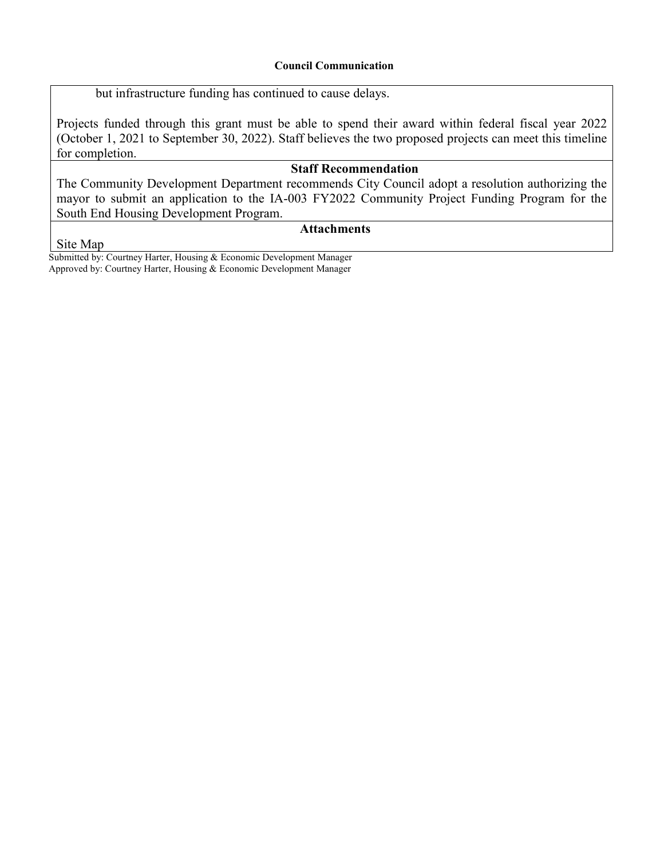#### **Council Communication**

but infrastructure funding has continued to cause delays.

Projects funded through this grant must be able to spend their award within federal fiscal year 2022 (October 1, 2021 to September 30, 2022). Staff believes the two proposed projects can meet this timeline for completion.

# **Staff Recommendation**

The Community Development Department recommends City Council adopt a resolution authorizing the mayor to submit an application to the IA-003 FY2022 Community Project Funding Program for the South End Housing Development Program.

# **Attachments**

Site Map

Submitted by: Courtney Harter, Housing & Economic Development Manager Approved by: Courtney Harter, Housing & Economic Development Manager